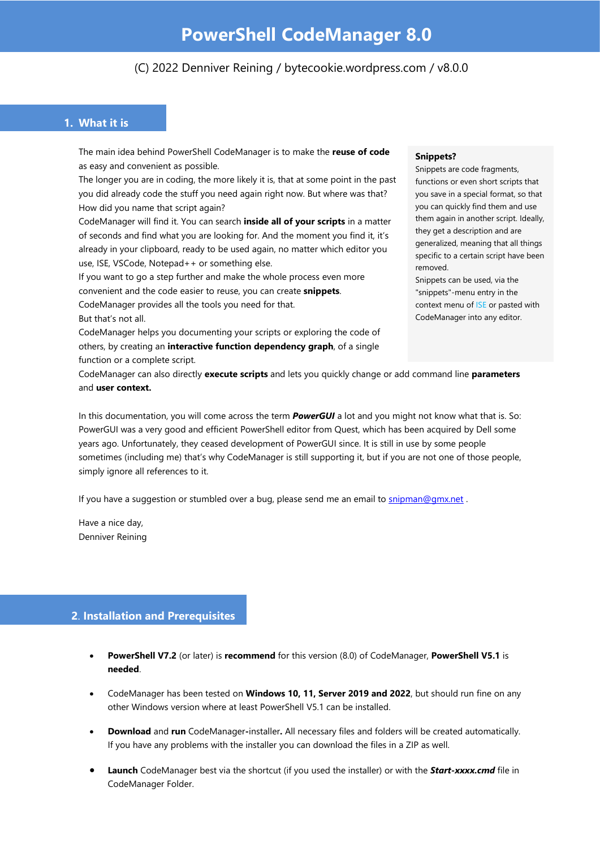# (C) 2022 Denniver Reining / bytecookie.wordpress.com / v8.0.0

# **1. What it is**

The main idea behind PowerShell CodeManager is to make the **reuse of code** as easy and convenient as possible.

The longer you are in coding, the more likely it is, that at some point in the past you did already code the stuff you need again right now. But where was that? How did you name that script again?

CodeManager will find it. You can search **inside all of your scripts** in a matter of seconds and find what you are looking for. And the moment you find it, it's already in your clipboard, ready to be used again, no matter which editor you use, ISE, VSCode, Notepad++ or something else.

If you want to go a step further and make the whole process even more convenient and the code easier to reuse, you can create **snippets**.

CodeManager provides all the tools you need for that. But that's not all.

CodeManager helps you documenting your scripts or exploring the code of others, by creating an **interactive function dependency graph**, of a single function or a complete script.

#### **Snippets?**

Snippets are code fragments, functions or even short scripts that you save in a special format, so that you can quickly find them and use them again in another script. Ideally, they get a description and are generalized, meaning that all things specific to a certain script have been removed.

Snippets can be used, via the "snippets"-menu entry in the context menu of ISE or pasted with CodeManager into any editor.

CodeManager can also directly **execute scripts** and lets you quickly change or add command line **parameters** and **user context.**

In this documentation, you will come across the term *PowerGUI* a lot and you might not know what that is. So: PowerGUI was a very good and efficient PowerShell editor from Quest, which has been acquired by Dell some years ago. Unfortunately, they ceased development of PowerGUI since. It is still in use by some people sometimes (including me) that's why CodeManager is still supporting it, but if you are not one of those people, simply ignore all references to it.

If you have a suggestion or stumbled over a bug, please send me an email t[o snipman@gmx.net](mailto:snipman@gmx.net?subject=Snippet%20Manager).

Have a nice day, Denniver Reining

## **2**. **Installation and Prerequisites**

- **PowerShell V7.2** (or later) is **recommend** for this version (8.0) of CodeManager, **PowerShell V5.1** is **needed**.
- CodeManager has been tested on **Windows 10, 11, Server 2019 and 2022**, but should run fine on any other Windows version where at least PowerShell V5.1 can be installed.
- **Download** and **run** CodeManager**-**installer**.** All necessary files and folders will be created automatically. If you have any problems with the installer you can download the files in a ZIP as well.
- **Launch** CodeManager best via the shortcut (if you used the installer) or with the *Start-xxxx.cmd* file in CodeManager Folder.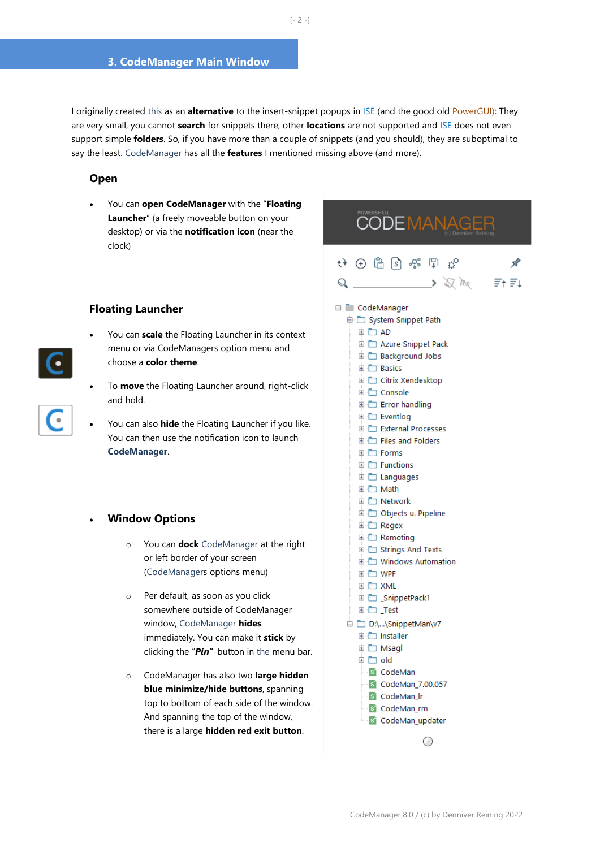I originally created this as an **alternative** to the insert-snippet popups in ISE (and the good old PowerGUI): They are very small, you cannot **search** for snippets there, other **locations** are not supported and ISE does not even support simple **folders**. So, if you have more than a couple of snippets (and you should), they are suboptimal to say the least. CodeManager has all the **features** I mentioned missing above (and more).

#### **Open**

• You can **open CodeManager** with the "**Floating Launcher**" (a freely moveable button on your desktop) or via the **notification icon** (near the clock)

#### **Floating Launcher**

- You can **scale** the Floating Launcher in its context menu or via CodeManagers option menu and choose a **color theme**.
- To **move** the Floating Launcher around, right-click and hold.
- You can also **hide** the Floating Launcher if you like. You can then use the notification icon to launch **CodeManager**.

#### • **Window Options**

- o You can **dock** CodeManager at the right or left border of your screen (CodeManagers options menu)
- o Per default, as soon as you click somewhere outside of CodeManager window, CodeManager **hides** immediately. You can make it **stick** by clicking the "*Pin***"**-button in the menu bar.
- o CodeManager has also two **large hidden blue minimize/hide buttons**, spanning top to bottom of each side of the window. And spanning the top of the window, there is a large **hidden red exit button**.

# $\leftrightarrow$   $\oplus$   $\oplus$   $\otimes$   $\oplus$   $\oplus$  $\begin{picture}(160,10) \put(0,0){\vector(1,0){100}} \put(15,0){\vector(1,0){100}} \put(15,0){\vector(1,0){100}} \put(15,0){\vector(1,0){100}} \put(15,0){\vector(1,0){100}} \put(15,0){\vector(1,0){100}} \put(15,0){\vector(1,0){100}} \put(15,0){\vector(1,0){100}} \put(15,0){\vector(1,0){100}} \put(15,0){\vector(1,0){100}} \put(15,0){\vector(1,0){100}}$ E CodeManager System Snippet Path **E** AD Azure Snippet Pack **E-Background Jobs E-C Basics E** Citrix Xendesktop **E** Console Error handling **Eventlog** External Processes **E-** Files and Folders **E** Forms **E** Functions **■ □ Languages E** Math □ Network D Objects u. Pipeline **E** Regex **E** Remoting E Strings And Texts **E** Windows Automation **E-C WPF E** XML □ \_SnippetPack1

POWERSHELL<br>CODE MANAGER

 $\sqrt{2}$ 

 $\Xi$ + $\Xi$ 1

- **D** Test
- D:\...\SnippetMan\v7 installer **E** Msagl
	- **E** old
	- **S** CodeMan
	- S CodeMan 7.00.057
	- S CodeMan Ir
	- s CodeMan\_rm
	- S CodeMan\_updater

O



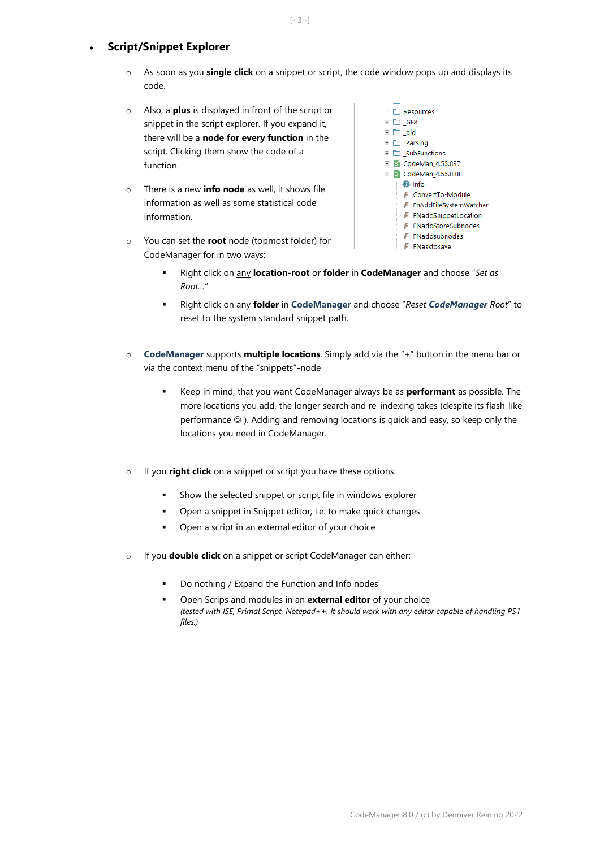# • **Script/Snippet Explorer**

- o As soon as you **single click** on a snippet or script, the code window pops up and displays its code.
- o Also, a **plus** is displayed in front of the script or snippet in the script explorer. If you expand it, there will be a **node for every function** in the script. Clicking them show the code of a function.
- o There is a new **info node** as well, it shows file information as well as some statistical code information.
- o You can set the **root** node (topmost folder) for CodeManager for in two ways:



- Right click on any **location-root** or **folder** in **CodeManager** and choose "*Set as Root…*"
- Right click on any **folder** in **CodeManager** and choose "*Reset CodeManager Root*" to reset to the system standard snippet path.
- o **CodeManager** supports **multiple locations**. Simply add via the "+" button in the menu bar or via the context menu of the "snippets"-node
	- Keep in mind, that you want CodeManager always be as **performant** as possible. The more locations you add, the longer search and re-indexing takes (despite its flash-like performance ☺ ). Adding and removing locations is quick and easy, so keep only the locations you need in CodeManager.
- o If you **right click** on a snippet or script you have these options:
	- Show the selected snippet or script file in windows explorer
	- Open a snippet in Snippet editor, i.e. to make quick changes
	- Open a script in an external editor of your choice
- o If you **double click** on a snippet or script CodeManager can either:
	- Do nothing / Expand the Function and Info nodes
	- Open Scrips and modules in an **external editor** of your choice *(tested with ISE, Primal Script, Notepad++. It should work with any editor capable of handling PS1 files.)*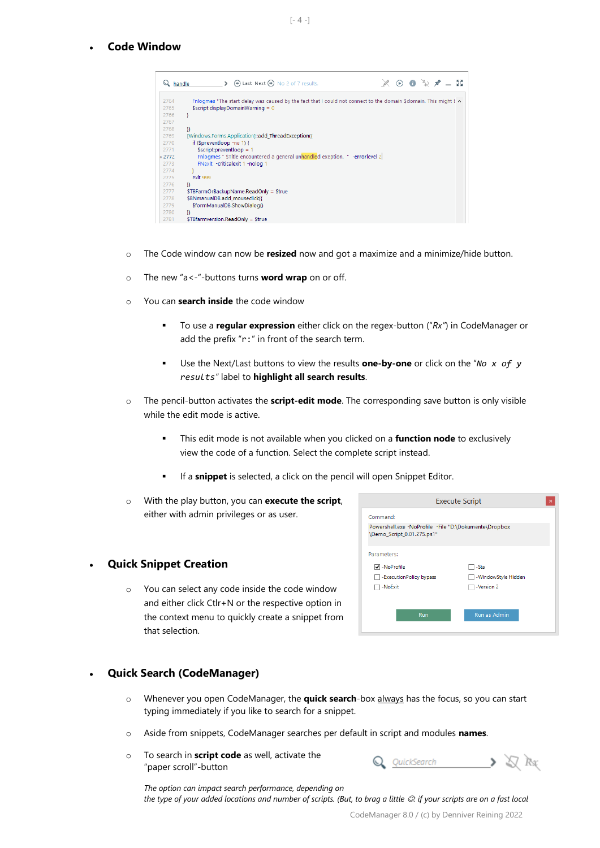• **Code Window**

| $Q$ , handle | $X \odot 0 \cong X \times -N$<br>$\triangleright$ (e) Last Next (e) No 2 of 7 results.                                  |
|--------------|-------------------------------------------------------------------------------------------------------------------------|
| 2764         | Fnlogmes "The start delay was caused by the fact that I could not connect to the domain \$domain. This might $k \wedge$ |
| 2765         | $s$ cript: displayDomainWarning = 0                                                                                     |
| 2766         |                                                                                                                         |
| 2767         |                                                                                                                         |
| 2768         | Ð                                                                                                                       |
| 2769         | [Windows.Forms.Application]::add ThreadException({                                                                      |
| 2770         | if (\$preventloop -ne 1) {                                                                                              |
| 2771         | $s$ cript:preventloop = 1                                                                                               |
| 0.2772       | Fnlogmes " \$Title encountered a general unhandled exeption. " -errorlevel 2                                            |
| 2773         | FNexit -criticalexit 1 -nolog 1                                                                                         |
| 2774         |                                                                                                                         |
| 2775         | exit 999                                                                                                                |
| 2776         | Ð                                                                                                                       |
| 2777         | \$TBFarmOrBackupName.ReadOnly = \$true                                                                                  |
| 2778         | \$BNmanualDB.add mouseclick({                                                                                           |
| 2779         | \$formManualDB.ShowDialog()                                                                                             |
| 2780         | n                                                                                                                       |
| 2781         | \$TBfarmversion.ReadOnly = \$true                                                                                       |

- o The Code window can now be **resized** now and got a maximize and a minimize/hide button.
- o The new "a<-"-buttons turns **word wrap** on or off.
- o You can **search inside** the code window
	- To use a **regular expression** either click on the regex-button ("*Rx"*) in CodeManager or add the prefix "r:" in front of the search term.
	- Use the Next/Last buttons to view the results **one-by-one** or click on the "*No x of y results"* label to **highlight all search results**.
- o The pencil-button activates the **script-edit mode**. The corresponding save button is only visible while the edit mode is active.
	- **EXECT** This edit mode is not available when you clicked on a **function node** to exclusively view the code of a function. Select the complete script instead.
	- If a **snippet** is selected, a click on the pencil will open Snippet Editor.
- o With the play button, you can **execute the script**, either with admin privileges or as user.

# • **Quick Snippet Creation**

o You can select any code inside the code window and either click Ctlr+N or the respective option in the context menu to quickly create a snippet from that selection.

|                                                                                     | <b>Execute Script</b><br>$\boldsymbol{\mathsf{x}}$ |
|-------------------------------------------------------------------------------------|----------------------------------------------------|
| Command:                                                                            |                                                    |
| Powershell.exe -NoProfile -File "D:\Dokumente\Dropbox<br>\Demo_Script_0.01.275.ps1" |                                                    |
| Parameters:                                                                         |                                                    |
| √ -NoProfile                                                                        | -Sta                                               |
| -ExecutionPolicy bypass                                                             | -WindowStyle Hidden                                |
| -NoExit                                                                             | -Version 2                                         |
|                                                                                     |                                                    |
| <b>Run</b>                                                                          | Run as Admin                                       |

# • **Quick Search (CodeManager)**

- o Whenever you open CodeManager, the **quick search**-box always has the focus, so you can start typing immediately if you like to search for a snippet.
- o Aside from snippets, CodeManager searches per default in script and modules **names**.
- o To search in **script code** as well, activate the "paper scroll"-button

| <b>MILLE</b><br>search |  |
|------------------------|--|
|                        |  |

*The option can impact search performance, depending on* 

*the type of your added locations and number of scripts. (But, to brag a little*  $@$ *: if your scripts are on a fast local*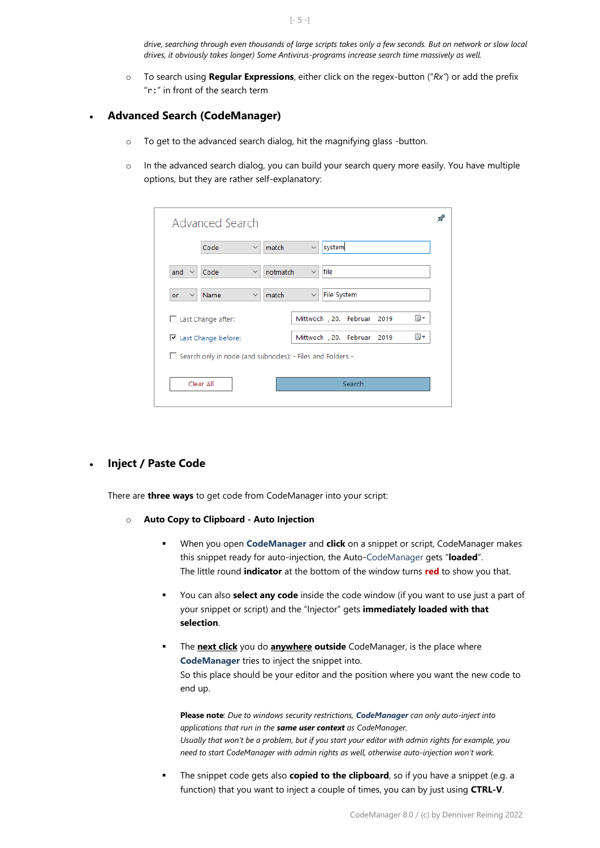*drive, searching through even thousands of large scripts takes only a few seconds. But on network or slow local drives, it obviously takes longer) Some Antivirus-programs increase search time massively as well.*

o To search using **Regular Expressions**, either click on the regex-button ("*Rx"*) or add the prefix "r:" in front of the search term

# • **Advanced Search (CodeManager)**

- o To get to the advanced search dialog, hit the magnifying glass -button.
- $\circ$  In the advanced search dialog, you can build your search query more easily. You have multiple options, but they are rather self-explanatory:

|                                                             | Advanced Search                                          |                          |              |             |                             |  |    |  |
|-------------------------------------------------------------|----------------------------------------------------------|--------------------------|--------------|-------------|-----------------------------|--|----|--|
|                                                             | Code                                                     | match<br>$\checkmark$    | $\checkmark$ | system      |                             |  |    |  |
| and<br>$\checkmark$                                         | Code                                                     | notmatch<br>$\checkmark$ | $\checkmark$ | file        |                             |  |    |  |
| or<br>$\checkmark$                                          | Name                                                     | match<br>$\checkmark$    | $\checkmark$ | File System |                             |  |    |  |
|                                                             | $\Box$ Last Change after:                                |                          |              |             | Mittwoch , 20. Februar 2019 |  | ▥▾ |  |
|                                                             | ▦▾<br>Mittwoch , 20. Februar 2019<br>Last Change before: |                          |              |             |                             |  |    |  |
| □ Search only in node (and subnodes): - Files and Folders - |                                                          |                          |              |             |                             |  |    |  |
|                                                             | Clear All                                                |                          |              |             | Search                      |  |    |  |

## • **Inject / Paste Code**

There are **three ways** to get code from CodeManager into your script:

- o **Auto Copy to Clipboard - Auto Injection** 
	- When you open **CodeManager** and **click** on a snippet or script, CodeManager makes this snippet ready for auto-injection, the Auto-CodeManager gets "**loaded**". The little round **indicator** at the bottom of the window turns **red** to show you that.
	- You can also **select any code** inside the code window (if you want to use just a part of your snippet or script) and the "Injector" gets **immediately loaded with that selection**.
	- The **next click** you do **anywhere outside** CodeManager, is the place where **CodeManager** tries to inject the snippet into. So this place should be your editor and the position where you want the new code to end up.

**Please note**: *Due to windows security restrictions, CodeManager can only auto-inject into applications that run in the same user context as CodeManager. Usually that won't be a problem, but if you start your editor with admin rights for example, you need to start CodeManager with admin rights as well, otherwise auto-injection won't work.*

**The snippet code gets also copied to the clipboard**, so if you have a snippet (e.g. a function) that you want to inject a couple of times, you can by just using **CTRL-V**.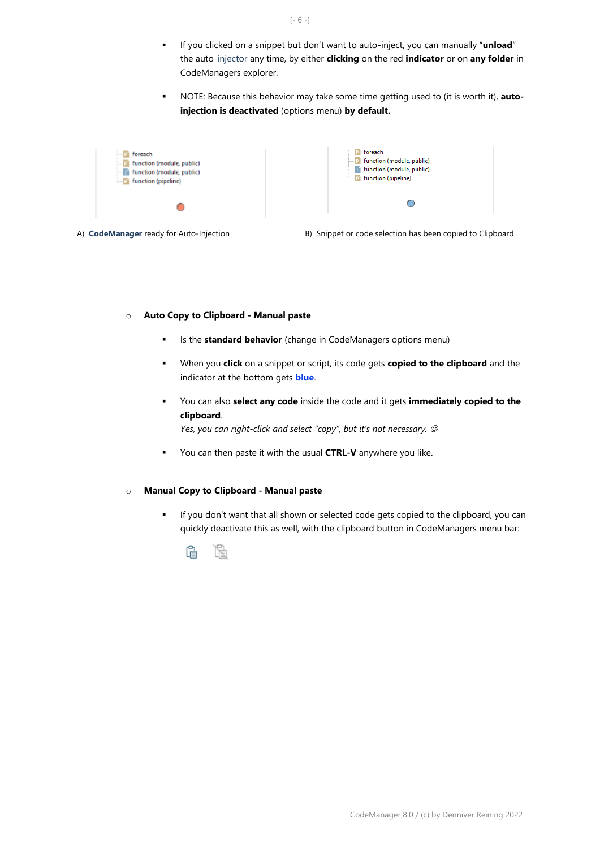- If you clicked on a snippet but don't want to auto-inject, you can manually "**unload**" the auto-injector any time, by either **clicking** on the red **indicator** or on **any folder** in CodeManagers explorer.
- NOTE: Because this behavior may take some time getting used to (it is worth it), **autoinjection is deactivated** (options menu) **by default.**



A) **CodeManager** ready for Auto-Injection B) Snippet or code selection has been copied to Clipboard

#### o **Auto Copy to Clipboard - Manual paste**

- Is the **standard behavior** (change in CodeManagers options menu)
- When you **click** on a snippet or script, its code gets **copied to the clipboard** and the indicator at the bottom gets **blue**.
- You can also **select any code** inside the code and it gets *immediately copied to the* **clipboard**.

*Yes, you can right-click and select "copy", but it's not necessary.*  $\circledcirc$ 

▪ You can then paste it with the usual **CTRL-V** anywhere you like.

#### o **Manual Copy to Clipboard - Manual paste**

▪ If you don't want that all shown or selected code gets copied to the clipboard, you can quickly deactivate this as well, with the clipboard button in CodeManagers menu bar:



 $[-6 -]$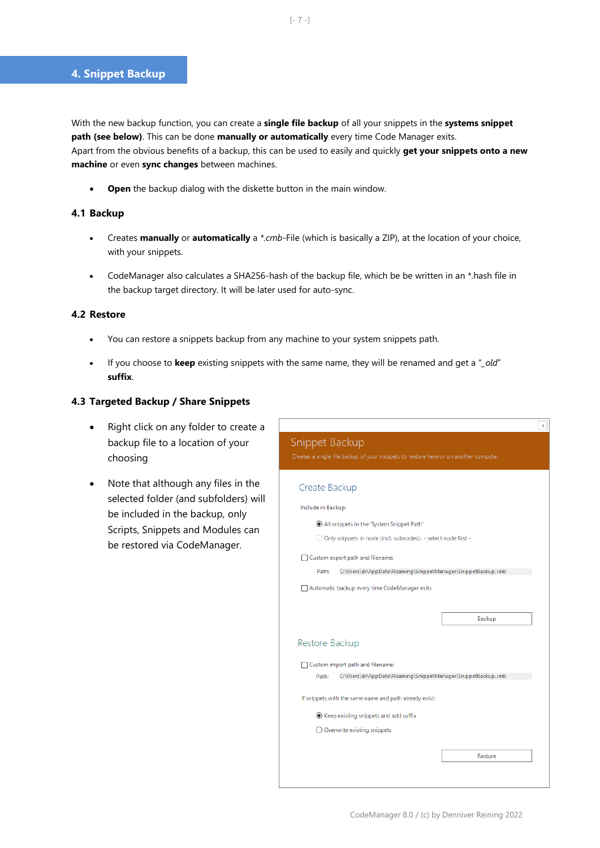With the new backup function, you can create a **single file backup** of all your snippets in the **systems snippet path (see below)**. This can be done **manually or automatically** every time Code Manager exits. Apart from the obvious benefits of a backup, this can be used to easily and quickly **get your snippets onto a new machine** or even **sync changes** between machines.

• **Open** the backup dialog with the diskette button in the main window.

## **4.1 Backup**

- Creates **manually** or **automatically** a *\*.cmb-*File (which is basically a ZIP), at the location of your choice, with your snippets.
- CodeManager also calculates a SHA256-hash of the backup file, which be be written in an \*.hash file in the backup target directory. It will be later used for auto-sync.

## **4.2 Restore**

- You can restore a snippets backup from any machine to your system snippets path.
- If you choose to **keep** existing snippets with the same name, they will be renamed and get a "*\_old*" **suffix**.

## **4.3 Targeted Backup / Share Snippets**

- Right click on any folder to create a backup file to a location of your choosing
- Note that although any files in the selected folder (and subfolders) will be included in the backup, only Scripts, Snippets and Modules can be restored via CodeManager.

| Snippet Backup<br>Creates a single file backup of your snippets to restore here or on another computer. |
|---------------------------------------------------------------------------------------------------------|
| Create Backup                                                                                           |
| Include in Backup:                                                                                      |
| All snippets in the 'System Snippet Path'                                                               |
| ○ Only snippets in node (incl. subnodes): - select node first -                                         |
| Custom export path and filename:                                                                        |
| Path:<br>C:\Users\dr\AppData\Roaming\SnippetManager\SnippetBackup.cmb                                   |
| Automatic backup every time CodeManager exits                                                           |
| Backup<br>Restore Backup                                                                                |
|                                                                                                         |
| □ Custom import path and filename:                                                                      |
| C:\Users\dr\AppData\Roaming\SnippetManager\SnippetBackup.cmb<br>Path:                                   |
| If snippets with the same name and path already exist:                                                  |
| ◉ Keep existing snippets and add suffix                                                                 |
| $\bigcirc$ Overwrite existing snippets                                                                  |
| Restore                                                                                                 |

 $\Box$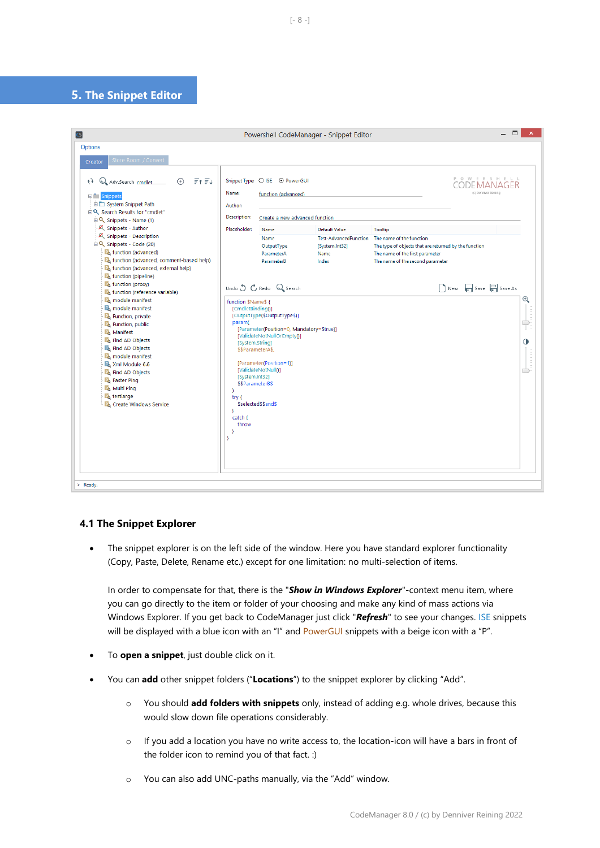## **5. The Snippet Editor**

## **4.1 The Snippet Explorer**

• The snippet explorer is on the left side of the window. Here you have standard explorer functionality (Copy, Paste, Delete, Rename etc.) except for one limitation: no multi-selection of items.

In order to compensate for that, there is the "*Show in Windows Explorer*"-context menu item, where you can go directly to the item or folder of your choosing and make any kind of mass actions via Windows Explorer. If you get back to CodeManager just click "*Refresh*" to see your changes. ISE snippets will be displayed with a blue icon with an "I" and PowerGUI snippets with a beige icon with a "P".

- To **open a snippet**, just double click on it.
- You can **add** other snippet folders ("**Locations**") to the snippet explorer by clicking "Add".
	- o You should **add folders with snippets** only, instead of adding e.g. whole drives, because this would slow down file operations considerably.
	- o If you add a location you have no write access to, the location-icon will have a bars in front of the folder icon to remind you of that fact. :)
	- o You can also add UNC-paths manually, via the "Add" window.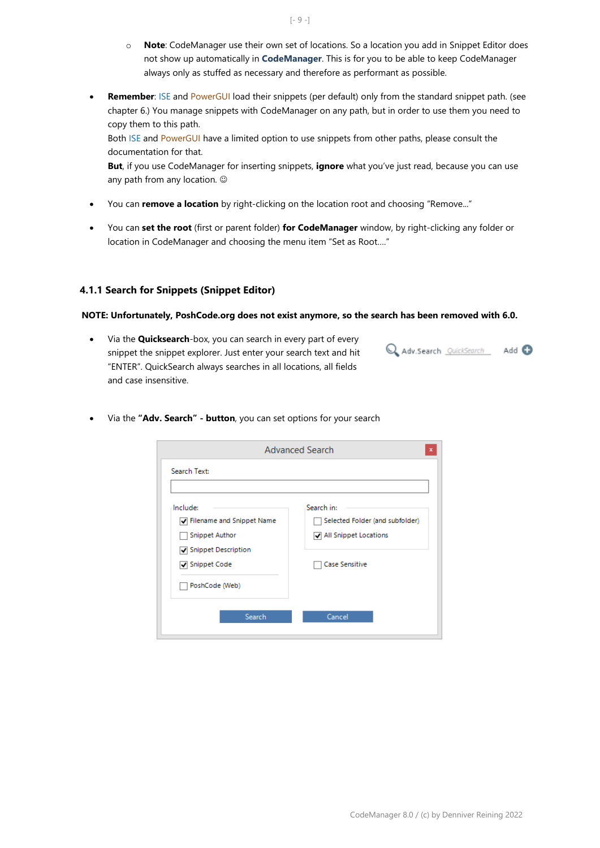- o **Note**: CodeManager use their own set of locations. So a location you add in Snippet Editor does not show up automatically in **CodeManager**. This is for you to be able to keep CodeManager always only as stuffed as necessary and therefore as performant as possible.
- **Remember**: ISE and PowerGUI load their snippets (per default) only from the standard snippet path. (see chapter 6.) You manage snippets with CodeManager on any path, but in order to use them you need to copy them to this path. Both ISE and PowerGUI have a limited option to use snippets from other paths, please consult the

documentation for that. **But**, if you use CodeManager for inserting snippets, **ignore** what you've just read, because you can use any path from any location.  $\odot$ 

- You can **remove a location** by right-clicking on the location root and choosing "Remove..."
- You can **set the root** (first or parent folder) **for CodeManager** window, by right-clicking any folder or location in CodeManager and choosing the menu item "Set as Root…."

#### **4.1.1 Search for Snippets (Snippet Editor)**

#### **NOTE: Unfortunately, PoshCode.org does not exist anymore, so the search has been removed with 6.0.**

- Via the **Quicksearch**-box, you can search in every part of every snippet the snippet explorer. Just enter your search text and hit "ENTER". QuickSearch always searches in all locations, all fields and case insensitive.
- Adv.Search QuickSearch Add O
- **Advanced Search** Search Text: Search in: **Include:** Filename and Snippet Name Selected Folder (and subfolder) All Snippet Locations Snippet Author Snippet Description √ Snippet Code Case Sensitive PoshCode (Web) Search Cancel
- Via the **"Adv. Search" - button**, you can set options for your search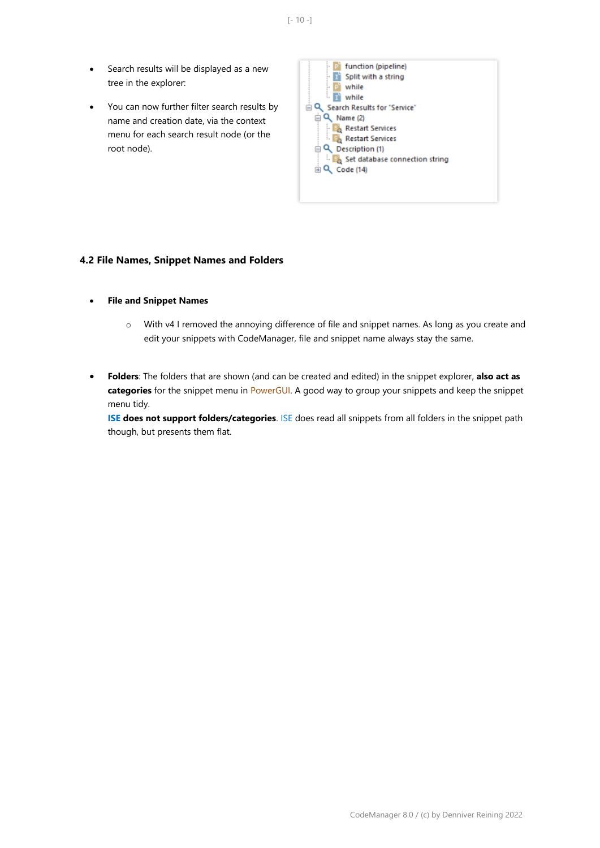- Search results will be displayed as a new tree in the explorer:
- You can now further filter search results by name and creation date, via the context menu for each search result node (or the root node).



#### **4.2 File Names, Snippet Names and Folders**

- **File and Snippet Names**
	- o With v4 I removed the annoying difference of file and snippet names. As long as you create and edit your snippets with CodeManager, file and snippet name always stay the same.
- **Folders**: The folders that are shown (and can be created and edited) in the snippet explorer, **also act as categories** for the snippet menu in PowerGUI. A good way to group your snippets and keep the snippet menu tidy.

**ISE does not support folders/categories**. ISE does read all snippets from all folders in the snippet path though, but presents them flat.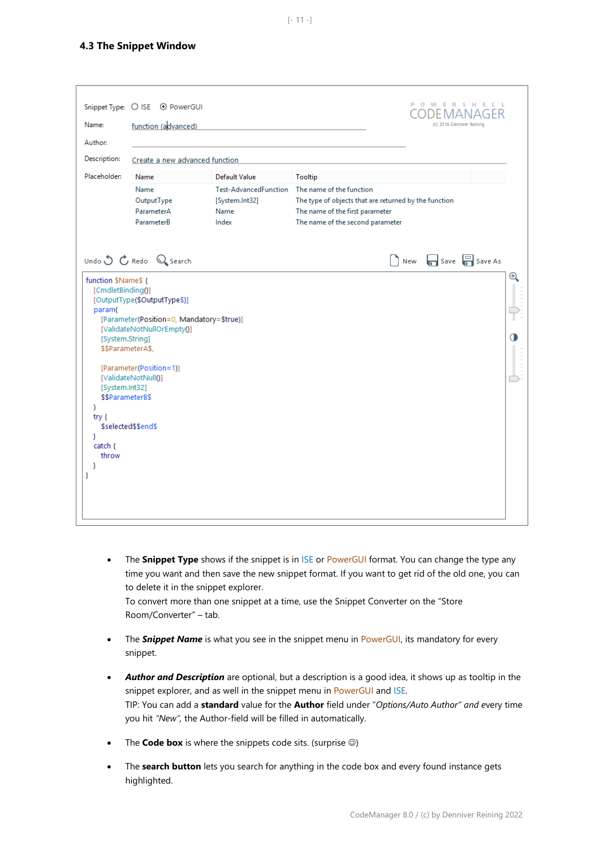| Name:<br>Author:                                                                                                                                                          | Snippet Type: $\bigcirc$ ISE $\bigcirc$ PowerGUI<br>function (advanced)                                                                                                                              |                                                                 | POWERS HELL<br>DEMANAGER<br>(c) 2016 Denniver Reining                                                                                                    |
|---------------------------------------------------------------------------------------------------------------------------------------------------------------------------|------------------------------------------------------------------------------------------------------------------------------------------------------------------------------------------------------|-----------------------------------------------------------------|----------------------------------------------------------------------------------------------------------------------------------------------------------|
| Description:                                                                                                                                                              | Create a new advanced function                                                                                                                                                                       |                                                                 |                                                                                                                                                          |
| Placeholder:                                                                                                                                                              | Name                                                                                                                                                                                                 | <b>Default Value</b>                                            | Tooltip                                                                                                                                                  |
|                                                                                                                                                                           | Name<br>OutputType<br>ParameterA<br>ParameterB                                                                                                                                                       | <b>Test-AdvancedFunction</b><br>[System.Int32]<br>Name<br>Index | The name of the function<br>The type of objects that are returned by the function<br>The name of the first parameter<br>The name of the second parameter |
|                                                                                                                                                                           | Undo $\bigcirc$ $\mathcal{C}$ Redo $\bigcirc$ Search                                                                                                                                                 |                                                                 | $\log$ New $\log$ Save $\log$ Save As                                                                                                                    |
| function \$Name\$ {<br>[CmdletBinding()]<br>param(<br>[System.String]<br>[System.Int32]<br>\$\$ParameterB\$<br><sup>)</sup><br>try {<br>Y<br>$catch {$<br>throw<br>Y<br>Y | [OutputType(\$OutputType\$)]<br>[Parameter(Position=0, Mandatory=\$true)]<br>[ValidateNotNullOrEmpty()]<br>\$\$ParameterA\$,<br>[Parameter(Position=1)]<br>[ValidateNotNull0]<br>\$selected\$\$end\$ |                                                                 | $\mathop{\mathrm{\mathsf{D}}}\nolimits$<br>$\bf{O}$                                                                                                      |

• The **Snippet Type** shows if the snippet is in ISE or PowerGUI format. You can change the type any time you want and then save the new snippet format. If you want to get rid of the old one, you can to delete it in the snippet explorer.

To convert more than one snippet at a time, use the Snippet Converter on the "Store Room/Converter" – tab.

- The **Snippet Name** is what you see in the snippet menu in PowerGUI, its mandatory for every snippet.
- *Author and Description* are optional, but a description is a good idea, it shows up as tooltip in the snippet explorer, and as well in the snippet menu in PowerGUI and ISE. TIP: You can add a **standard** value for the **Author** field under "*Options/Auto Author" and e*very time you hit *"New",* the Author-field will be filled in automatically.
- The **Code box** is where the snippets code sits. (surprise  $\circledcirc$ )
- The **search button** lets you search for anything in the code box and every found instance gets highlighted.

 $[- 11 -]$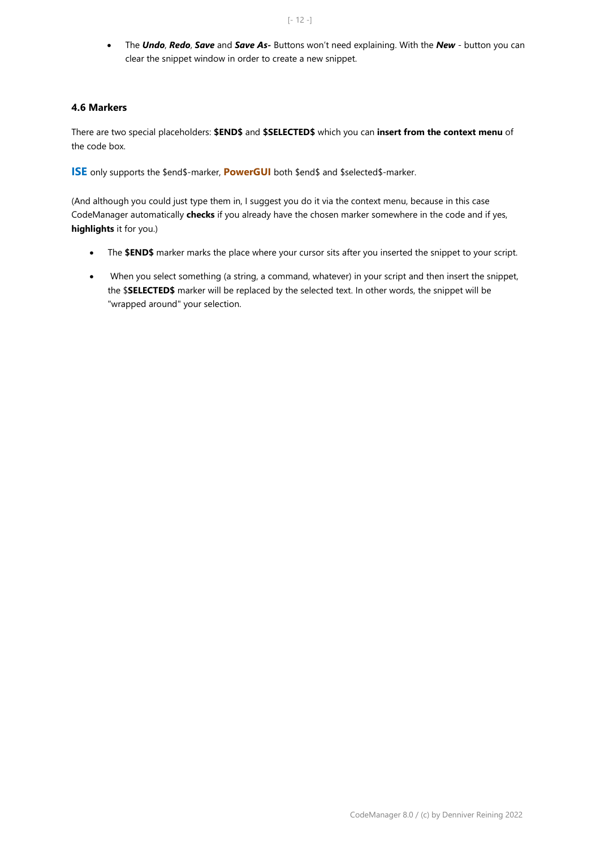• The *Undo*, *Redo*, *Save* and *Save As-* Buttons won't need explaining. With the *New* - button you can clear the snippet window in order to create a new snippet.

## **4.6 Markers**

There are two special placeholders: **\$END\$** and **\$SELECTED\$** which you can **insert from the context menu** of the code box.

**ISE** only supports the \$end\$-marker, **PowerGUI** both \$end\$ and \$selected\$-marker.

(And although you could just type them in, I suggest you do it via the context menu, because in this case CodeManager automatically **checks** if you already have the chosen marker somewhere in the code and if yes, **highlights** it for you.)

- The **\$END\$** marker marks the place where your cursor sits after you inserted the snippet to your script.
- When you select something (a string, a command, whatever) in your script and then insert the snippet, the \$**SELECTED\$** marker will be replaced by the selected text. In other words, the snippet will be "wrapped around" your selection.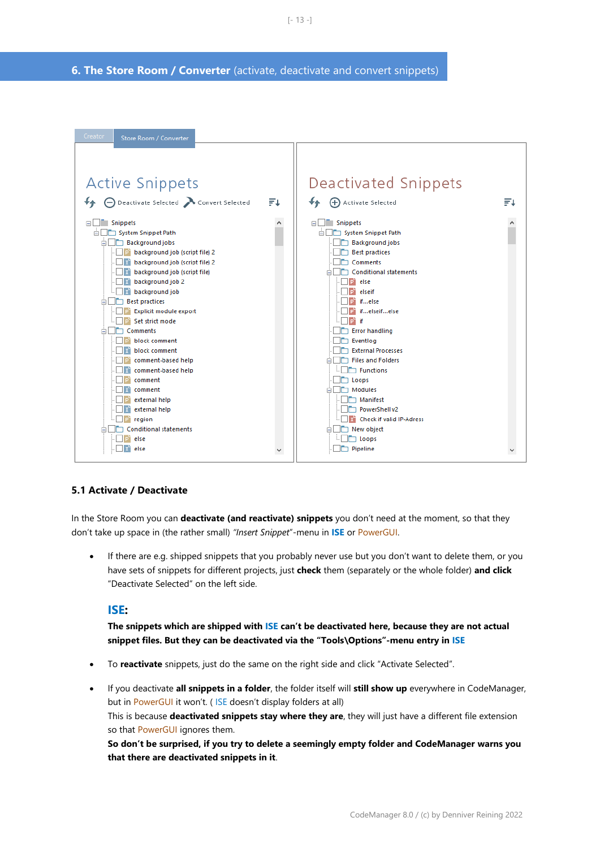**6. The Store Room / Converter** (activate, deactivate and convert snippets)



#### **5.1 Activate / Deactivate**

In the Store Room you can **deactivate (and reactivate) snippets** you don't need at the moment, so that they don't take up space in (the rather small) *"Insert Snippet*"-menu in **ISE** or PowerGUI.

• If there are e.g. shipped snippets that you probably never use but you don't want to delete them, or you have sets of snippets for different projects, just **check** them (separately or the whole folder) **and click** "Deactivate Selected" on the left side.

#### **ISE:**

**The snippets which are shipped with ISE can't be deactivated here, because they are not actual snippet files. But they can be deactivated via the "Tools\Options"-menu entry in ISE**

- To **reactivate** snippets, just do the same on the right side and click "Activate Selected".
- If you deactivate **all snippets in a folder**, the folder itself will **still show up** everywhere in CodeManager, but in PowerGUI it won't. ( ISE doesn't display folders at all) This is because **deactivated snippets stay where they are**, they will just have a different file extension so that PowerGUI ignores them. **So don't be surprised, if you try to delete a seemingly empty folder and CodeManager warns you that there are deactivated snippets in it**.

 $[- 13 -]$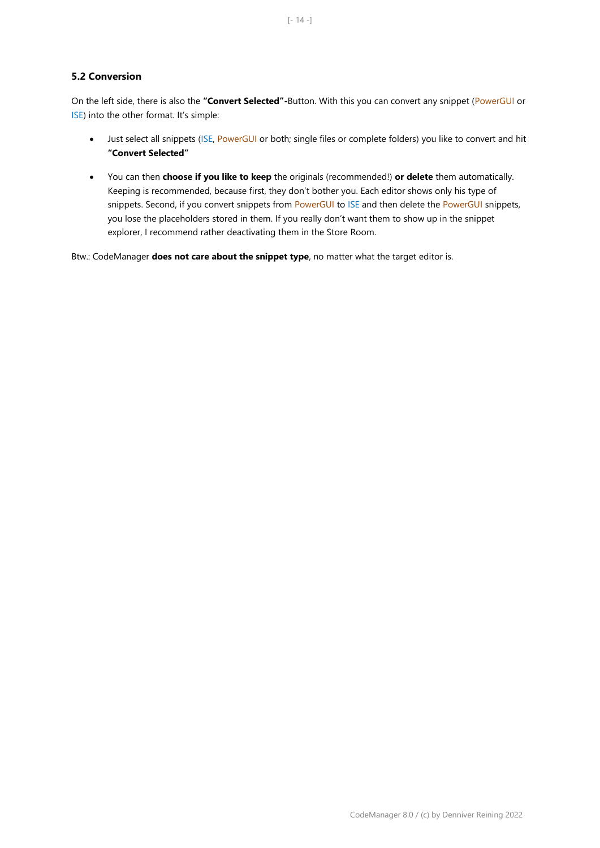On the left side, there is also the **"Convert Selected"-**Button. With this you can convert any snippet (PowerGUI or ISE) into the other format. It's simple:

- Just select all snippets (ISE, PowerGUI or both; single files or complete folders) you like to convert and hit **"Convert Selected"**
- You can then **choose if you like to keep** the originals (recommended!) **or delete** them automatically. Keeping is recommended, because first, they don't bother you. Each editor shows only his type of snippets. Second, if you convert snippets from PowerGUI to ISE and then delete the PowerGUI snippets, you lose the placeholders stored in them. If you really don't want them to show up in the snippet explorer, I recommend rather deactivating them in the Store Room.

Btw.: CodeManager **does not care about the snippet type**, no matter what the target editor is.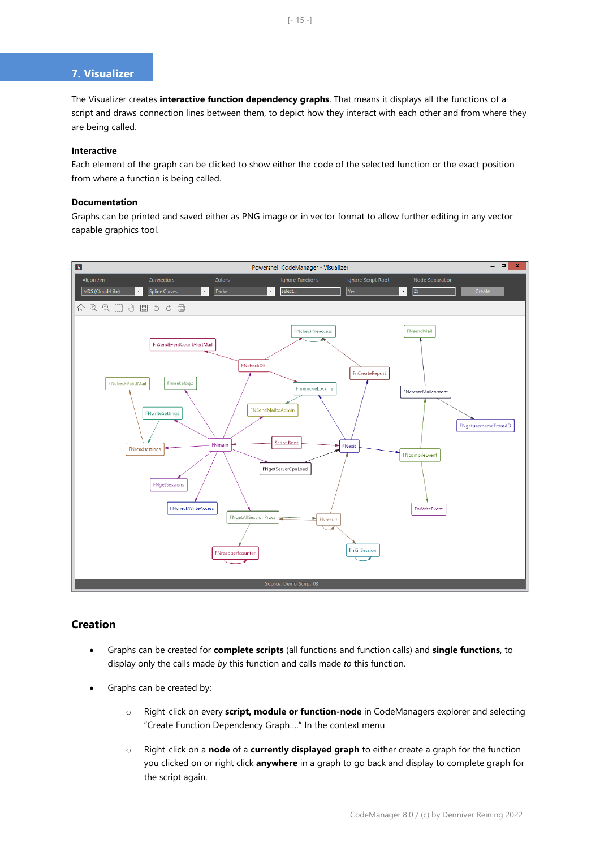# **7. Visualizer**

The Visualizer creates **interactive function dependency graphs**. That means it displays all the functions of a script and draws connection lines between them, to depict how they interact with each other and from where they are being called.

#### **Interactive**

Each element of the graph can be clicked to show either the code of the selected function or the exact position from where a function is being called.

#### **Documentation**

Graphs can be printed and saved either as PNG image or in vector format to allow further editing in any vector capable graphics tool.



## **Creation**

- Graphs can be created for **complete scripts** (all functions and function calls) and **single functions**, to display only the calls made *by* this function and calls made *to* this function.
- Graphs can be created by:
	- o Right-click on every **script, module or function-node** in CodeManagers explorer and selecting "Create Function Dependency Graph…." In the context menu
	- o Right-click on a **node** of a **currently displayed graph** to either create a graph for the function you clicked on or right click **anywhere** in a graph to go back and display to complete graph for the script again.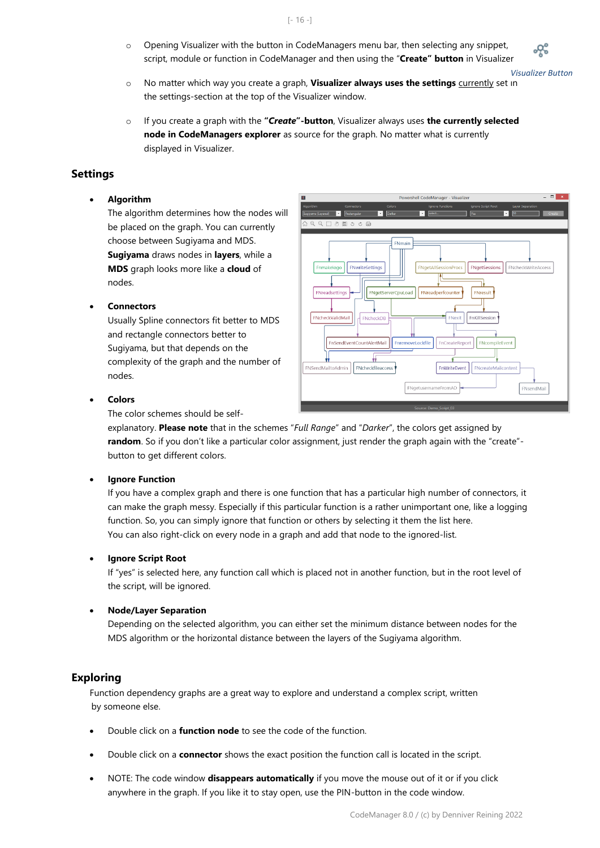$[- 16 -]$ 

 $\circ$  Opening Visualizer with the button in CodeManagers menu bar, then selecting any snippet, script, module or function in CodeManager and then using the "**Create" button** in Visualizer

*Visualizer Button*

- o No matter which way you create a graph, **Visualizer always uses the settings** currently set in the settings-section at the top of the Visualizer window.
- o If you create a graph with the **"***Create***"-button**, Visualizer always uses **the currently selected node in CodeManagers explorer** as source for the graph. No matter what is currently displayed in Visualizer.

# **Settings**

#### • **Algorithm**

The algorithm determines how the nodes will be placed on the graph. You can currently choose between Sugiyama and MDS. **Sugiyama** draws nodes in **layers**, while a **MDS** graph looks more like a **cloud** of nodes.

## • **Connectors**

Usually Spline connectors fit better to MDS and rectangle connectors better to Sugiyama, but that depends on the complexity of the graph and the number of nodes.



• **Colors**

The color schemes should be self-

explanatory. **Please note** that in the schemes "*Full Range*" and "*Darker*", the colors get assigned by **random**. So if you don't like a particular color assignment, just render the graph again with the "create"button to get different colors.

#### **Ignore Function**

If you have a complex graph and there is one function that has a particular high number of connectors, it can make the graph messy. Especially if this particular function is a rather unimportant one, like a logging function. So, you can simply ignore that function or others by selecting it them the list here. You can also right-click on every node in a graph and add that node to the ignored-list.

#### • **Ignore Script Root**

If "yes" is selected here, any function call which is placed not in another function, but in the root level of the script, will be ignored.

#### • **Node/Layer Separation**

Depending on the selected algorithm, you can either set the minimum distance between nodes for the MDS algorithm or the horizontal distance between the layers of the Sugiyama algorithm.

#### **Exploring**

Function dependency graphs are a great way to explore and understand a complex script, written by someone else.

- Double click on a **function node** to see the code of the function.
- Double click on a **connector** shows the exact position the function call is located in the script.
- NOTE: The code window **disappears automatically** if you move the mouse out of it or if you click anywhere in the graph. If you like it to stay open, use the PIN-button in the code window.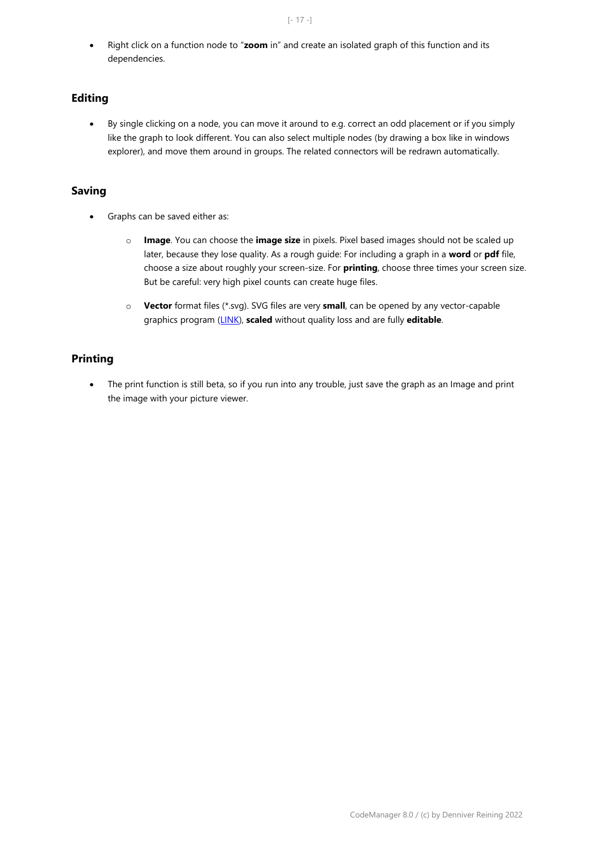• Right click on a function node to "**zoom** in" and create an isolated graph of this function and its dependencies.

# **Editing**

• By single clicking on a node, you can move it around to e.g. correct an odd placement or if you simply like the graph to look different. You can also select multiple nodes (by drawing a box like in windows explorer), and move them around in groups. The related connectors will be redrawn automatically.

# **Saving**

- Graphs can be saved either as:
	- o **Image**. You can choose the **image size** in pixels. Pixel based images should not be scaled up later, because they lose quality. As a rough guide: For including a graph in a **word** or **pdf** file, choose a size about roughly your screen-size. For **printing**, choose three times your screen size. But be careful: very high pixel counts can create huge files.
	- o **Vector** format files (\*.svg). SVG files are very **small**, can be opened by any vector-capable graphics program [\(LINK\)](https://en.wikipedia.org/wiki/Comparison_of_vector_graphics_editors), **scaled** without quality loss and are fully **editable**.

# **Printing**

• The print function is still beta, so if you run into any trouble, just save the graph as an Image and print the image with your picture viewer.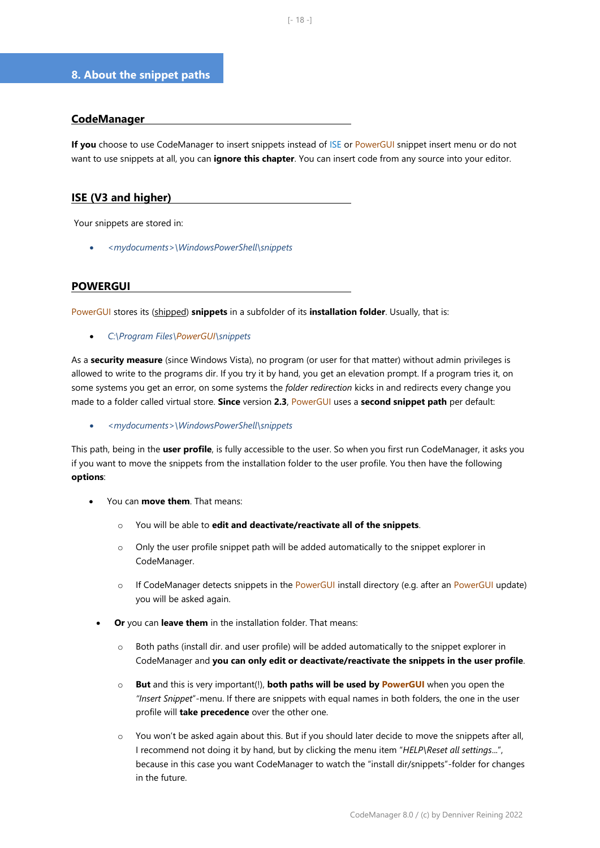## **8. About the snippet paths**

## **CodeManager**

**If you** choose to use CodeManager to insert snippets instead of ISE or PowerGUI snippet insert menu or do not want to use snippets at all, you can **ignore this chapter**. You can insert code from any source into your editor.

# **ISE (V3 and higher)**

Your snippets are stored in:

• *<mydocuments>\WindowsPowerShell\snippets*

## **POWERGUI**

PowerGUI stores its (shipped) **snippets** in a subfolder of its **installation folder**. Usually, that is:

• *C:\Program Files\PowerGUI\snippets*

As a **security measure** (since Windows Vista), no program (or user for that matter) without admin privileges is allowed to write to the programs dir. If you try it by hand, you get an elevation prompt. If a program tries it, on some systems you get an error, on some systems the *folder redirection* kicks in and redirects every change you made to a folder called virtual store. **Since** version **2.3**, PowerGUI uses a **second snippet path** per default:

• *<mydocuments>\WindowsPowerShell\snippets*

This path, being in the **user profile**, is fully accessible to the user. So when you first run CodeManager, it asks you if you want to move the snippets from the installation folder to the user profile. You then have the following **options**:

- You can **move them**. That means:
	- o You will be able to **edit and deactivate/reactivate all of the snippets**.
	- $\circ$  Only the user profile snippet path will be added automatically to the snippet explorer in CodeManager.
	- o If CodeManager detects snippets in the PowerGUI install directory (e.g. after an PowerGUI update) you will be asked again.
	- **Or** you can **leave them** in the installation folder. That means:
		- $\circ$  Both paths (install dir. and user profile) will be added automatically to the snippet explorer in CodeManager and **you can only edit or deactivate/reactivate the snippets in the user profile**.
		- o **But** and this is very important(!), **both paths will be used by PowerGUI** when you open the *"Insert Snippet*"-menu. If there are snippets with equal names in both folders, the one in the user profile will **take precedence** over the other one.
		- o You won't be asked again about this. But if you should later decide to move the snippets after all, I recommend not doing it by hand, but by clicking the menu item "*HELP\Reset all settings*...", because in this case you want CodeManager to watch the "install dir/snippets"-folder for changes in the future.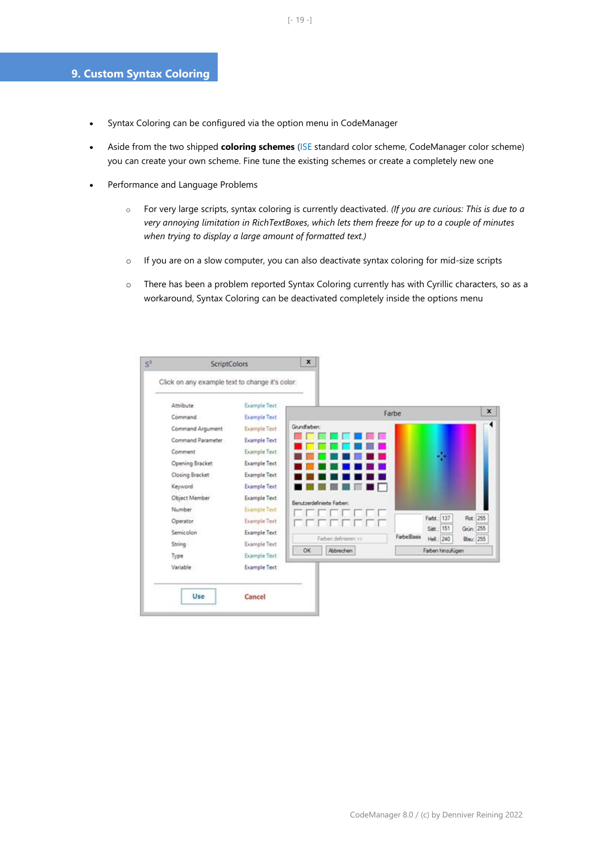# **9. Custom Syntax Coloring**

- Syntax Coloring can be configured via the option menu in CodeManager
- Aside from the two shipped **coloring schemes** (ISE standard color scheme, CodeManager color scheme) you can create your own scheme. Fine tune the existing schemes or create a completely new one
- Performance and Language Problems
	- o For very large scripts, syntax coloring is currently deactivated. *(If you are curious: This is due to a very annoying limitation in RichTextBoxes, which lets them freeze for up to a couple of minutes when trying to display a large amount of formatted text.)*
	- $\circ$  If you are on a slow computer, you can also deactivate syntax coloring for mid-size scripts
	- o There has been a problem reported Syntax Coloring currently has with Cyrillic characters, so as a workaround, Syntax Coloring can be deactivated completely inside the options menu

| Click on any example text to change it's color: |                                            |  |                      |                            |            |            |                   |          |  |
|-------------------------------------------------|--------------------------------------------|--|----------------------|----------------------------|------------|------------|-------------------|----------|--|
| Attribute<br>Command                            | <b>Example Text</b><br><b>Example Text</b> |  |                      |                            |            | Farbe      |                   |          |  |
| Command Argument                                | <b>Example Text</b>                        |  | Grundfarben:         |                            |            |            |                   |          |  |
| Command Parameter                               | <b>Example Text</b>                        |  |                      |                            |            |            |                   |          |  |
| Comment                                         | Example Text                               |  |                      |                            |            |            |                   |          |  |
| Opening Bracket                                 | <b>Example Text</b>                        |  |                      |                            |            |            |                   |          |  |
| Closing Bracket                                 | <b>Example Text</b>                        |  |                      |                            |            |            |                   |          |  |
| Keyword                                         | <b>Example Text</b>                        |  |                      |                            |            |            |                   |          |  |
| Object Member                                   | Example Text                               |  |                      | Benutzerdefinierte Farben: |            |            |                   |          |  |
| Number                                          | <b>Example Text</b>                        |  |                      |                            |            |            |                   |          |  |
| Operator                                        | <b>Example Text</b>                        |  |                      |                            |            |            | Farbt : 137       | Rot: 255 |  |
| Semicolon                                       | <b>Example Text</b>                        |  | Farben definieren >> |                            |            | Satt.: 151 | Grün: 255         |          |  |
| <b>String</b>                                   | Example Text                               |  |                      | Farbe/Basis                | Hell.: 240 | Blau: 255  |                   |          |  |
| Type                                            | <b>Example Text</b>                        |  | OK                   | Abbrechen                  |            |            | Farben hinzufügen |          |  |
| Variable                                        | <b>Example Text</b>                        |  |                      |                            |            |            |                   |          |  |
|                                                 |                                            |  |                      |                            |            |            |                   |          |  |
| Use                                             | Cancel                                     |  |                      |                            |            |            |                   |          |  |